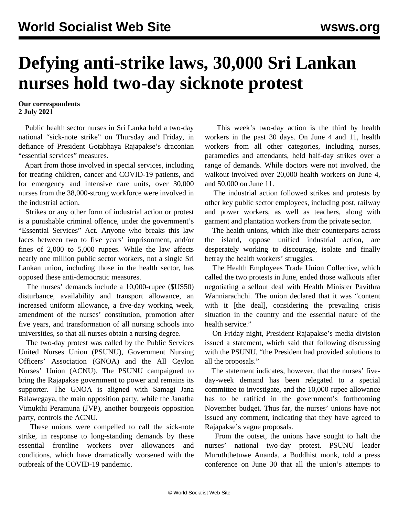## **Defying anti-strike laws, 30,000 Sri Lankan nurses hold two-day sicknote protest**

**Our correspondents 2 July 2021**

 Public health sector nurses in Sri Lanka held a two-day national "sick-note strike" on Thursday and Friday, in defiance of President Gotabhaya Rajapakse's draconian "essential services" measures.

 Apart from those involved in special services, including for treating children, cancer and COVID-19 patients, and for emergency and intensive care units, over 30,000 nurses from the 38,000-strong workforce were involved in the industrial action.

 Strikes or any other form of industrial action or protest is a punishable criminal offence, under the government's "Essential Services" Act. Anyone who breaks this law faces between two to five years' imprisonment, and/or fines of 2,000 to 5,000 rupees. While the law affects nearly one million public sector workers, not a single Sri Lankan union, including those in the health sector, has opposed these anti-democratic measures.

 The nurses' demands include a 10,000-rupee (\$US50) disturbance, availability and transport allowance, an increased uniform allowance, a five-day working week, amendment of the nurses' constitution, promotion after five years, and transformation of all nursing schools into universities, so that all nurses obtain a nursing degree.

 The two-day protest was called by the Public Services United Nurses Union (PSUNU), Government Nursing Officers' Association (GNOA) and the All Ceylon Nurses' Union (ACNU). The PSUNU campaigned to bring the Rajapakse government to power and remains its supporter. The GNOA is aligned with Samagi Jana Balawegaya, the main opposition party, while the Janatha Vimukthi Peramuna (JVP), another bourgeois opposition party, controls the ACNU.

 These unions were compelled to call the sick-note strike, in response to long-standing demands by these essential frontline workers over allowances and conditions, which have dramatically worsened with the outbreak of the COVID-19 pandemic.

 This week's two-day action is the third by health workers in the past 30 days. On June 4 and 11, health workers from all other categories, including nurses, paramedics and attendants, held half-day strikes over a range of demands. While doctors were not involved, the walkout involved over 20,000 health workers on June 4, and 50,000 on June 11.

 The industrial action followed strikes and protests by other key public sector employees, including post, railway and power workers, as well as teachers, along with garment and plantation workers from the private sector.

 The health unions, which like their counterparts across the island, oppose unified industrial action, are desperately working to discourage, isolate and finally betray the health workers' struggles.

 The Health Employees Trade Union Collective, which called the two protests in June, ended those walkouts after negotiating a [sellout](/en/articles/2021/06/19/slhe-j19.html) deal with Health Minister Pavithra Wanniarachchi. The union declared that it was "content with it [the deal], considering the prevailing crisis situation in the country and the essential nature of the health service."

 On Friday night, President Rajapakse's media division issued a statement, which said that following discussing with the PSUNU, "the President had provided solutions to all the proposals."

 The statement indicates, however, that the nurses' fiveday-week demand has been relegated to a special committee to investigate, and the 10,000-rupee allowance has to be ratified in the government's forthcoming November budget. Thus far, the nurses' unions have not issued any comment, indicating that they have agreed to Rajapakse's vague proposals.

 From the outset, the unions have sought to halt the nurses' national two-day protest. PSUNU leader Muruththetuwe Ananda, a Buddhist monk, told a press conference on June 30 that all the union's attempts to